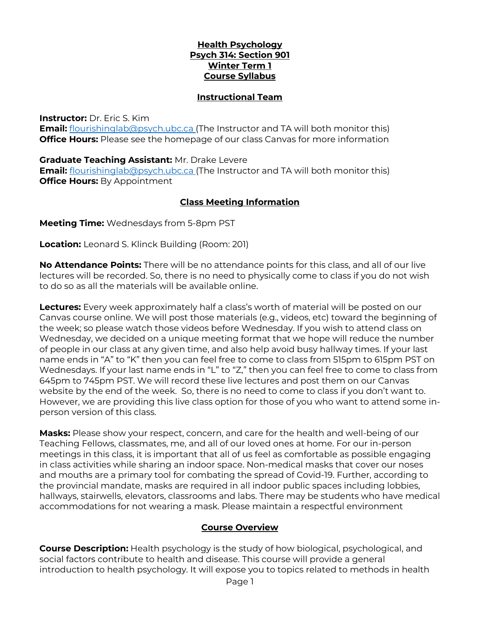## **Health Psychology Psych 314: Section 901 Winter Term 1 Course Syllabus**

#### **Instructional Team**

#### **Instructor:** Dr. Eric S. Kim

**Email:** [flourishinglab@psych.ubc.ca](mailto:flourishinglab@psych.ubc.ca) (The Instructor and TA will both monitor this) **Office Hours:** Please see the homepage of our class Canvas for more information

#### **Graduate Teaching Assistant:** Mr. Drake Levere

**Email:** [flourishinglab@psych.ubc.ca](mailto:flourishinglab@psych.ubc.ca) (The Instructor and TA will both monitor this) **Office Hours: By Appointment** 

## **Class Meeting Information**

**Meeting Time:** Wednesdays from 5-8pm PST

**Location:** Leonard S. Klinck Building (Room: 201)

**No Attendance Points:** There will be no attendance points for this class, and all of our live lectures will be recorded. So, there is no need to physically come to class if you do not wish to do so as all the materials will be available online.

**Lectures:** Every week approximately half a class's worth of material will be posted on our Canvas course online. We will post those materials (e.g., videos, etc) toward the beginning of the week; so please watch those videos before Wednesday. If you wish to attend class on Wednesday, we decided on a unique meeting format that we hope will reduce the number of people in our class at any given time, and also help avoid busy hallway times. If your last name ends in "A" to "K" then you can feel free to come to class from 515pm to 615pm PST on Wednesdays. If your last name ends in "L" to "Z," then you can feel free to come to class from 645pm to 745pm PST. We will record these live lectures and post them on our Canvas website by the end of the week. So, there is no need to come to class if you don't want to. However, we are providing this live class option for those of you who want to attend some inperson version of this class.

**Masks:** Please show your respect, concern, and care for the health and well-being of our Teaching Fellows, classmates, me, and all of our loved ones at home. For our in-person meetings in this class, it is important that all of us feel as comfortable as possible engaging in class activities while sharing an indoor space. Non-medical masks that cover our noses and mouths are a primary tool for combating the spread of Covid-19. Further, according to the provincial mandate, masks are required in all indoor public spaces including lobbies, hallways, stairwells, elevators, classrooms and labs. There may be students who have medical accommodations for not wearing a mask. Please maintain a respectful environment

## **Course Overview**

**Course Description:** Health psychology is the study of how biological, psychological, and social factors contribute to health and disease. This course will provide a general introduction to health psychology. It will expose you to topics related to methods in health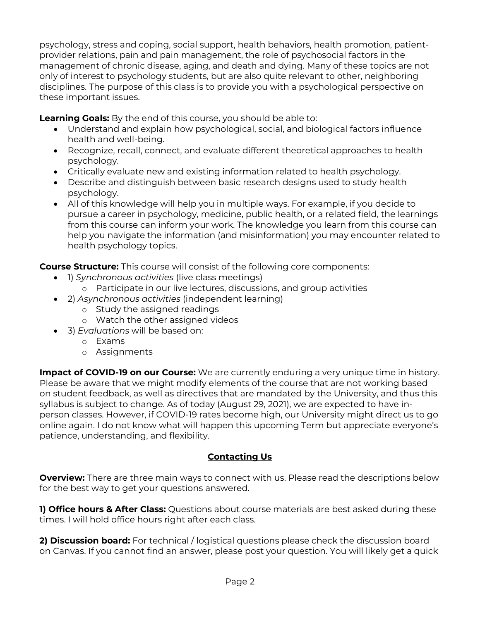psychology, stress and coping, social support, health behaviors, health promotion, patientprovider relations, pain and pain management, the role of psychosocial factors in the management of chronic disease, aging, and death and dying. Many of these topics are not only of interest to psychology students, but are also quite relevant to other, neighboring disciplines. The purpose of this class is to provide you with a psychological perspective on these important issues.

**Learning Goals:** By the end of this course, you should be able to:

- Understand and explain how psychological, social, and biological factors influence health and well-being.
- Recognize, recall, connect, and evaluate different theoretical approaches to health psychology.
- Critically evaluate new and existing information related to health psychology.
- Describe and distinguish between basic research designs used to study health psychology.
- All of this knowledge will help you in multiple ways. For example, if you decide to pursue a career in psychology, medicine, public health, or a related field, the learnings from this course can inform your work. The knowledge you learn from this course can help you navigate the information (and misinformation) you may encounter related to health psychology topics.

**Course Structure:** This course will consist of the following core components:

- 1) *Synchronous activities* (live class meetings)
	- o Participate in our live lectures, discussions, and group activities
- 2) *Asynchronous activities* (independent learning)
	- o Study the assigned readings
	- o Watch the other assigned videos
- 3) *Evaluations* will be based on:
	- o Exams
	- o Assignments

**Impact of COVID-19 on our Course:** We are currently enduring a very unique time in history. Please be aware that we might modify elements of the course that are not working based on student feedback, as well as directives that are mandated by the University, and thus this syllabus is subject to change. As of today (August 29, 2021), we are expected to have inperson classes. However, if COVID-19 rates become high, our University might direct us to go online again. I do not know what will happen this upcoming Term but appreciate everyone's patience, understanding, and flexibility.

# **Contacting Us**

**Overview:** There are three main ways to connect with us. Please read the descriptions below for the best way to get your questions answered.

**1) Office hours & After Class:** Questions about course materials are best asked during these times. I will hold office hours right after each class.

**2) Discussion board:** For technical / logistical questions please check the discussion board on Canvas. If you cannot find an answer, please post your question. You will likely get a quick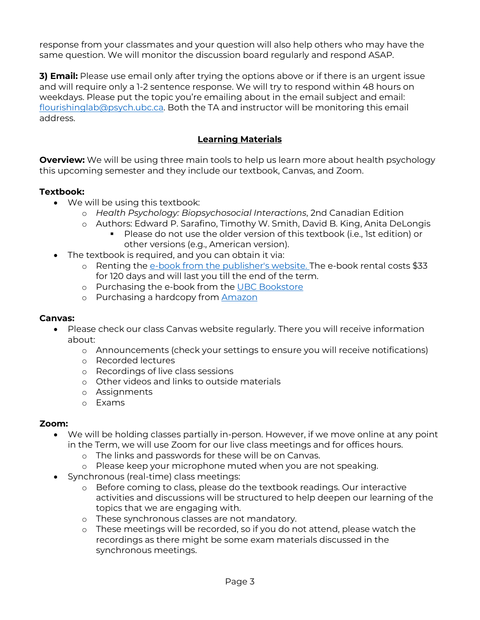response from your classmates and your question will also help others who may have the same question. We will monitor the discussion board regularly and respond ASAP.

**3) Email:** Please use email only after trying the options above or if there is an urgent issue and will require only a 1-2 sentence response. We will try to respond within 48 hours on weekdays. Please put the topic you're emailing about in the email subject and email: [flourishinglab@psych.ubc.ca.](mailto:flourishinglab@psych.ubc.ca) Both the TA and instructor will be monitoring this email address.

## **Learning Materials**

**Overview:** We will be using three main tools to help us learn more about health psychology this upcoming semester and they include our textbook, Canvas, and Zoom.

## **Textbook:**

- We will be using this textbook:
	- o *Health Psychology: Biopsychosocial Interactions*, 2nd Canadian Edition
	- o Authors: Edward P. Sarafino, Timothy W. Smith, David B. King, Anita DeLongis
		- Please do not use the older version of this textbook (i.e., 1st edition) or other versions (e.g., American version).
- The textbook is required, and you can obtain it via:
	- o Renting the [e-book from the publisher's website.](https://www.wiley.com/en-ca/Health+Psychology%3A+Biopsychosocial+Interactions%2C+2nd+Canadian+Edition-p-9781119506881) The e-book rental costs \$33 for 120 days and will last you till the end of the term.
	- o Purchasing the e-book from the [UBC Bookstore](https://shop.bookstore.ubc.ca/courselistbuilder.aspx)
	- o Purchasing a hardcopy from **[Amazon](https://www.amazon.ca/gp/product/1119506948/ref=ppx_yo_dt_b_asin_title_o00_s00?ie=UTF8&psc=1)**

## **Canvas:**

- Please check our class Canvas website regularly. There you will receive information about:
	- o Announcements (check your settings to ensure you will receive notifications)
	- o Recorded lectures
	- o Recordings of live class sessions
	- o Other videos and links to outside materials
	- o Assignments
	- o Exams

## **Zoom:**

- We will be holding classes partially in-person. However, if we move online at any point in the Term, we will use Zoom for our live class meetings and for offices hours.
	- o The links and passwords for these will be on Canvas.
	- o Please keep your microphone muted when you are not speaking.
- Synchronous (real-time) class meetings:
	- o Before coming to class, please do the textbook readings. Our interactive activities and discussions will be structured to help deepen our learning of the topics that we are engaging with.
	- o These synchronous classes are not mandatory.
	- o These meetings will be recorded, so if you do not attend, please watch the recordings as there might be some exam materials discussed in the synchronous meetings.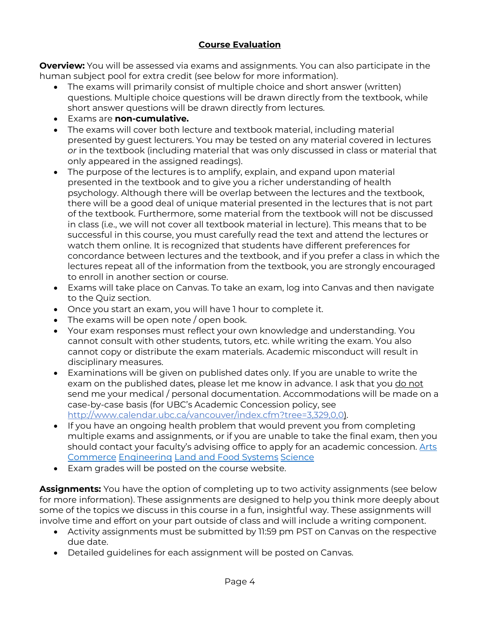# **Course Evaluation**

**Overview:** You will be assessed via exams and assignments. You can also participate in the human subject pool for extra credit (see below for more information).

- The exams will primarily consist of multiple choice and short answer (written) questions. Multiple choice questions will be drawn directly from the textbook, while short answer questions will be drawn directly from lectures.
- Exams are **non-cumulative.**
- The exams will cover both lecture and textbook material, including material presented by guest lecturers. You may be tested on any material covered in lectures *or* in the textbook (including material that was only discussed in class or material that only appeared in the assigned readings).
- The purpose of the lectures is to amplify, explain, and expand upon material presented in the textbook and to give you a richer understanding of health psychology. Although there will be overlap between the lectures and the textbook, there will be a good deal of unique material presented in the lectures that is not part of the textbook. Furthermore, some material from the textbook will not be discussed in class (i.e., we will not cover all textbook material in lecture). This means that to be successful in this course, you must carefully read the text and attend the lectures or watch them online. It is recognized that students have different preferences for concordance between lectures and the textbook, and if you prefer a class in which the lectures repeat all of the information from the textbook, you are strongly encouraged to enroll in another section or course.
- Exams will take place on Canvas. To take an exam, log into Canvas and then navigate to the Quiz section.
- Once you start an exam, you will have 1 hour to complete it.
- The exams will be open note / open book.
- Your exam responses must reflect your own knowledge and understanding. You cannot consult with other students, tutors, etc. while writing the exam. You also cannot copy or distribute the exam materials. Academic misconduct will result in disciplinary measures.
- Examinations will be given on published dates only. If you are unable to write the exam on the published dates, please let me know in advance. I ask that you do not send me your medical / personal documentation. Accommodations will be made on a case-by-case basis (for UBC's Academic Concession policy, see [http://www.calendar.ubc.ca/vancouver/index.cfm?tree=3,329,0,0\)](http://www.calendar.ubc.ca/vancouver/index.cfm?tree=3,329,0,0).
- If you have an ongoing health problem that would prevent you from completing multiple exams and assignments, or if you are unable to take the final exam, then you should contact your faculty's advising office to apply for an academic concession. [Arts](https://students.arts.ubc.ca/advising/academic-performance/help-academic-concession/) [Commerce](https://mybcom.sauder.ubc.ca/academic-concession) [Engineering](https://academicservices.engineering.ubc.ca/exams-grades/academic-concession/) [Land and Food Systems](https://www.landfood.ubc.ca/student-services/medical-emotional-difficulties/) [Science](https://science.ubc.ca/students/advising/concession)
- Exam grades will be posted on the course website.

**Assignments:** You have the option of completing up to two activity assignments (see below for more information). These assignments are designed to help you think more deeply about some of the topics we discuss in this course in a fun, insightful way. These assignments will involve time and effort on your part outside of class and will include a writing component.

- Activity assignments must be submitted by 11:59 pm PST on Canvas on the respective due date.
- Detailed guidelines for each assignment will be posted on Canvas.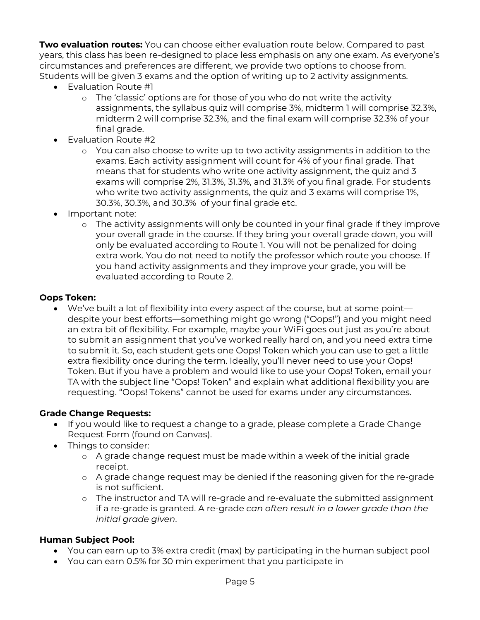**Two evaluation routes:** You can choose either evaluation route below. Compared to past years, this class has been re-designed to place less emphasis on any one exam. As everyone's circumstances and preferences are different, we provide two options to choose from. Students will be given 3 exams and the option of writing up to 2 activity assignments.

- Evaluation Route #1
	- o The 'classic' options are for those of you who do not write the activity assignments, the syllabus quiz will comprise 3%, midterm 1 will comprise 32.3%, midterm 2 will comprise 32.3%, and the final exam will comprise 32.3% of your final grade.
- Evaluation Route #2
	- o You can also choose to write up to two activity assignments in addition to the exams. Each activity assignment will count for 4% of your final grade. That means that for students who write one activity assignment, the quiz and 3 exams will comprise 2%, 31.3%, 31.3%, and 31.3% of you final grade. For students who write two activity assignments, the quiz and 3 exams will comprise 1%, 30.3%, 30.3%, and 30.3% of your final grade etc.
- Important note:
	- o The activity assignments will only be counted in your final grade if they improve your overall grade in the course. If they bring your overall grade down, you will only be evaluated according to Route 1. You will not be penalized for doing extra work. You do not need to notify the professor which route you choose. If you hand activity assignments and they improve your grade, you will be evaluated according to Route 2.

#### **Oops Token:**

• We've built a lot of flexibility into every aspect of the course, but at some point despite your best efforts—something might go wrong ("Oops!") and you might need an extra bit of flexibility. For example, maybe your WiFi goes out just as you're about to submit an assignment that you've worked really hard on, and you need extra time to submit it. So, each student gets one Oops! Token which you can use to get a little extra flexibility once during the term. Ideally, you'll never need to use your Oops! Token. But if you have a problem and would like to use your Oops! Token, email your TA with the subject line "Oops! Token" and explain what additional flexibility you are requesting. "Oops! Tokens" cannot be used for exams under any circumstances.

## **Grade Change Requests:**

- If you would like to request a change to a grade, please complete a Grade Change Request Form (found on Canvas).
- Things to consider:
	- o A grade change request must be made within a week of the initial grade receipt.
	- o A grade change request may be denied if the reasoning given for the re-grade is not sufficient.
	- o The instructor and TA will re-grade and re-evaluate the submitted assignment if a re-grade is granted. A re-grade *can often result in a lower grade than the initial grade given*.

## **Human Subject Pool:**

- You can earn up to 3% extra credit (max) by participating in the human subject pool
- You can earn 0.5% for 30 min experiment that you participate in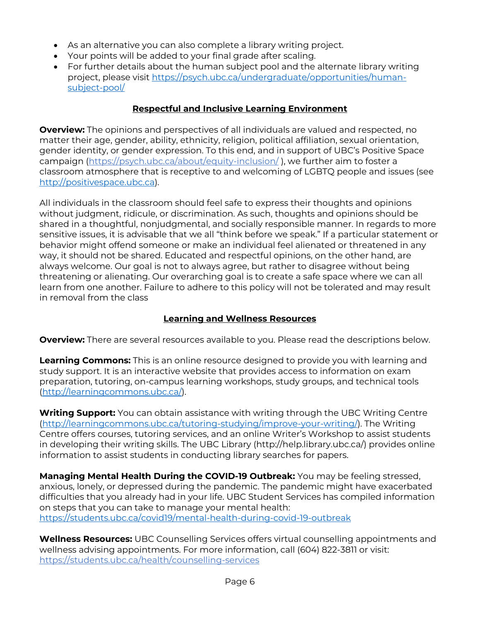- As an alternative you can also complete a library writing project.
- Your points will be added to your final grade after scaling.
- For further details about the human subject pool and the alternate library writing project, please visit [https://psych.ubc.ca/undergraduate/opportunities/human](https://psych.ubc.ca/undergraduate/opportunities/human-subject-pool/)[subject-pool/](https://psych.ubc.ca/undergraduate/opportunities/human-subject-pool/)

# **Respectful and Inclusive Learning Environment**

**Overview:** The opinions and perspectives of all individuals are valued and respected, no matter their age, gender, ability, ethnicity, religion, political affiliation, sexual orientation, gender identity, or gender expression. To this end, and in support of UBC's Positive Space campaign [\(https://psych.ubc.ca/about/equity-inclusion/](https://psych.ubc.ca/about/equity-inclusion/) ), we further aim to foster a classroom atmosphere that is receptive to and welcoming of LGBTQ people and issues (see [http://positivespace.ubc.ca\)](http://positivespace.ubc.ca/).

All individuals in the classroom should feel safe to express their thoughts and opinions without judgment, ridicule, or discrimination. As such, thoughts and opinions should be shared in a thoughtful, nonjudgmental, and socially responsible manner. In regards to more sensitive issues, it is advisable that we all "think before we speak." If a particular statement or behavior might offend someone or make an individual feel alienated or threatened in any way, it should not be shared. Educated and respectful opinions, on the other hand, are always welcome. Our goal is not to always agree, but rather to disagree without being threatening or alienating. Our overarching goal is to create a safe space where we can all learn from one another. Failure to adhere to this policy will not be tolerated and may result in removal from the class

# **Learning and Wellness Resources**

**Overview:** There are several resources available to you. Please read the descriptions below.

**Learning Commons:** This is an online resource designed to provide you with learning and study support. It is an interactive website that provides access to information on exam preparation, tutoring, on-campus learning workshops, study groups, and technical tools [\(http://learningcommons.ubc.ca/\)](http://learningcommons.ubc.ca/).

**Writing Support:** You can obtain assistance with writing through the UBC Writing Centre [\(http://learningcommons.ubc.ca/tutoring-studying/improve-your-writing/\)](http://learningcommons.ubc.ca/tutoring-studying/improve-your-writing/). The Writing Centre offers courses, tutoring services, and an online Writer's Workshop to assist students in developing their writing skills. The UBC Library (http://help.library.ubc.ca/) provides online information to assist students in conducting library searches for papers.

**Managing Mental Health During the COVID-19 Outbreak:** You may be feeling stressed, anxious, lonely, or depressed during the pandemic. The pandemic might have exacerbated difficulties that you already had in your life. UBC Student Services has compiled information on steps that you can take to manage your mental health: <https://students.ubc.ca/covid19/mental-health-during-covid-19-outbreak>

**Wellness Resources:** UBC Counselling Services offers virtual counselling appointments and wellness advising appointments. For more information, call (604) 822-3811 or visit: <https://students.ubc.ca/health/counselling-services>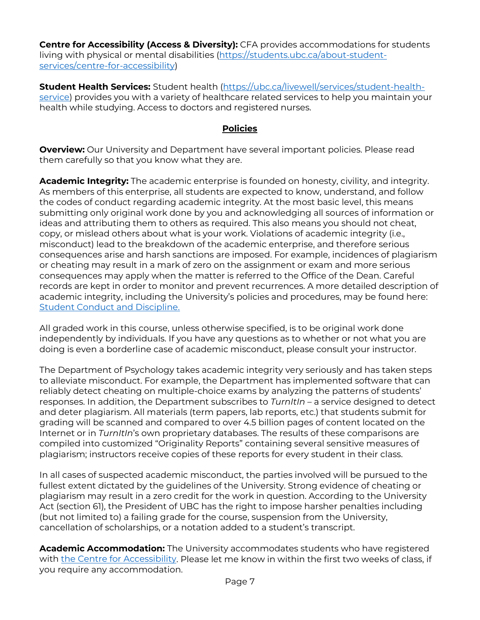**Centre for Accessibility (Access & Diversity):** CFA provides accommodations for students living with physical or mental disabilities [\(https://students.ubc.ca/about-student](https://students.ubc.ca/about-student-services/centre-for-accessibility)[services/centre-for-accessibility\)](https://students.ubc.ca/about-student-services/centre-for-accessibility)

**Student Health Services:** Student health [\(https://ubc.ca/livewell/services/student-health](https://ubc.ca/livewell/services/student-health-service)[service\)](https://ubc.ca/livewell/services/student-health-service) provides you with a variety of healthcare related services to help you maintain your health while studying. Access to doctors and registered nurses.

## **Policies**

**Overview:** Our University and Department have several important policies. Please read them carefully so that you know what they are.

**Academic Integrity:** The academic enterprise is founded on honesty, civility, and integrity. As members of this enterprise, all students are expected to know, understand, and follow the codes of conduct regarding academic integrity. At the most basic level, this means submitting only original work done by you and acknowledging all sources of information or ideas and attributing them to others as required. This also means you should not cheat, copy, or mislead others about what is your work. Violations of academic integrity (i.e., misconduct) lead to the breakdown of the academic enterprise, and therefore serious consequences arise and harsh sanctions are imposed. For example, incidences of plagiarism or cheating may result in a mark of zero on the assignment or exam and more serious consequences may apply when the matter is referred to the Office of the Dean. Careful records are kept in order to monitor and prevent recurrences. A more detailed description of academic integrity, including the University's policies and procedures, may be found here: [Student Conduct and Discipline.](http://www.calendar.ubc.ca/vancouver/index.cfm?tree=3,54,0,0)

All graded work in this course, unless otherwise specified, is to be original work done independently by individuals. If you have any questions as to whether or not what you are doing is even a borderline case of academic misconduct, please consult your instructor.

The Department of Psychology takes academic integrity very seriously and has taken steps to alleviate misconduct. For example, the Department has implemented software that can reliably detect cheating on multiple-choice exams by analyzing the patterns of students' responses. In addition, the Department subscribes to *TurnItIn* – a service designed to detect and deter plagiarism. All materials (term papers, lab reports, etc.) that students submit for grading will be scanned and compared to over 4.5 billion pages of content located on the Internet or in *TurnItIn*'s own proprietary databases. The results of these comparisons are compiled into customized "Originality Reports" containing several sensitive measures of plagiarism; instructors receive copies of these reports for every student in their class.

In all cases of suspected academic misconduct, the parties involved will be pursued to the fullest extent dictated by the guidelines of the University. Strong evidence of cheating or plagiarism may result in a zero credit for the work in question. According to the University Act (section 61), the President of UBC has the right to impose harsher penalties including (but not limited to) a failing grade for the course, suspension from the University, cancellation of scholarships, or a notation added to a student's transcript.

**Academic Accommodation:** The University accommodates students who have registered with [the Centre for Accessibility.](http://students.ubc.ca/about/access) Please let me know in within the first two weeks of class, if you require any accommodation.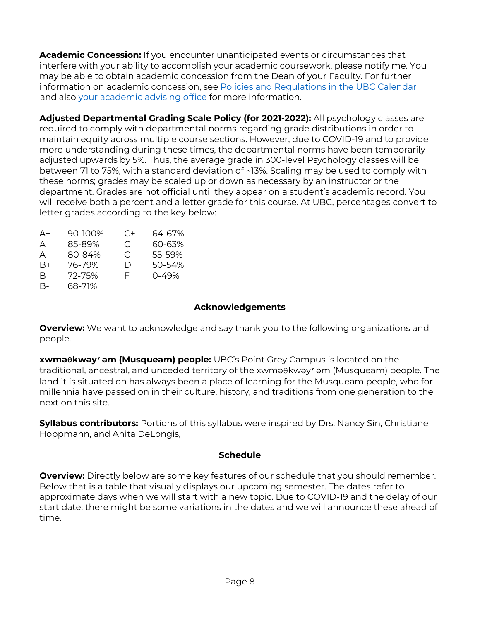**Academic Concession:** If you encounter unanticipated events or circumstances that interfere with your ability to accomplish your academic coursework, please notify me. You may be able to obtain academic concession from the Dean of your Faculty. For further information on academic concession, see [Policies and Regulations in the UBC Calendar](http://www.calendar.ubc.ca/vancouver/index.cfm?tree=3,329,0,0) and also your [academic advising office](https://students.ubc.ca/enrolment/academic-learning-resources/academic-concessions) for more information.

**Adjusted Departmental Grading Scale Policy (for 2021-2022):** All psychology classes are required to comply with departmental norms regarding grade distributions in order to maintain equity across multiple course sections. However, due to COVID-19 and to provide more understanding during these times, the departmental norms have been temporarily adjusted upwards by 5%. Thus, the average grade in 300-level Psychology classes will be between 71 to 75%, with a standard deviation of ~13%. Scaling may be used to comply with these norms; grades may be scaled up or down as necessary by an instructor or the department. Grades are not official until they appear on a student's academic record. You will receive both a percent and a letter grade for this course. At UBC, percentages convert to letter grades according to the key below:

| A+ | 90-100% | C+    | 64-67% |
|----|---------|-------|--------|
| A  | 85-89%  | C.    | 60-63% |
| А- | 80-84%  | $C -$ | 55-59% |
| B+ | 76-79%  | D     | 50-54% |
| R  | 72-75%  | F     | 0-49%  |
| В- | 68-71%  |       |        |

## **Acknowledgements**

**Overview:** We want to acknowledge and say thank you to the following organizations and people.

**xwməθkwəy̓əm (Musqueam) people:** UBC's Point Grey Campus is located on the traditional, ancestral, and unceded territory of the xwməθkwəy̓əm (Musqueam) people. The land it is situated on has always been a place of learning for the Musqueam people, who for millennia have passed on in their culture, history, and traditions from one generation to the next on this site.

**Syllabus contributors:** Portions of this syllabus were inspired by Drs. Nancy Sin, Christiane Hoppmann, and Anita DeLongis,

# **Schedule**

**Overview:** Directly below are some key features of our schedule that you should remember. Below that is a table that visually displays our upcoming semester. The dates refer to approximate days when we will start with a new topic. Due to COVID-19 and the delay of our start date, there might be some variations in the dates and we will announce these ahead of time.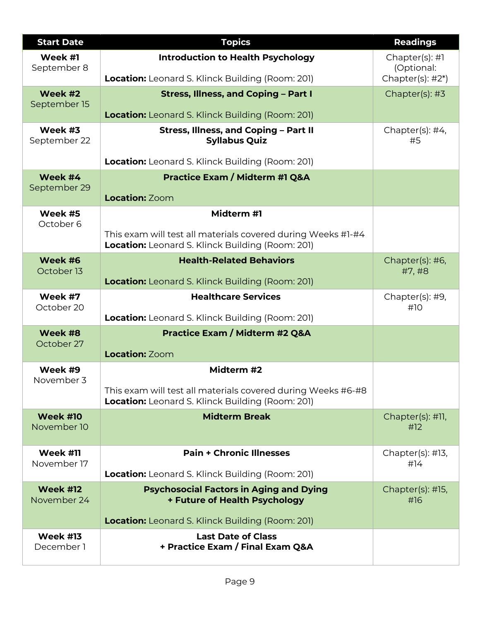| <b>Start Date</b>              | <b>Topics</b>                                                                                                           | <b>Readings</b>                                  |
|--------------------------------|-------------------------------------------------------------------------------------------------------------------------|--------------------------------------------------|
| Week #1<br>September 8         | <b>Introduction to Health Psychology</b><br><b>Location:</b> Leonard S. Klinck Building (Room: 201)                     | Chapter(s): #1<br>(Optional:<br>Chapter(s): #2*) |
| Week #2<br>September 15        | <b>Stress, Illness, and Coping - Part I</b><br><b>Location:</b> Leonard S. Klinck Building (Room: 201)                  | Chapter(s): #3                                   |
| Week #3<br>September 22        | Stress, Illness, and Coping - Part II<br><b>Syllabus Quiz</b>                                                           | Chapter(s): #4,<br>#5                            |
|                                | <b>Location:</b> Leonard S. Klinck Building (Room: 201)                                                                 |                                                  |
| Week #4<br>September 29        | <b>Practice Exam / Midterm #1 Q&amp;A</b><br><b>Location: Zoom</b>                                                      |                                                  |
| Week #5                        | Midterm #1                                                                                                              |                                                  |
| October 6                      | This exam will test all materials covered during Weeks #1-#4<br><b>Location:</b> Leonard S. Klinck Building (Room: 201) |                                                  |
| Week #6<br>October 13          | <b>Health-Related Behaviors</b>                                                                                         | Chapter(s): #6,<br>#7,#8                         |
|                                | <b>Location:</b> Leonard S. Klinck Building (Room: 201)                                                                 |                                                  |
| Week #7<br>October 20          | <b>Healthcare Services</b>                                                                                              | Chapter(s): #9,<br>#10                           |
|                                | Location: Leonard S. Klinck Building (Room: 201)                                                                        |                                                  |
| Week #8<br>October 27          | <b>Practice Exam / Midterm #2 Q&amp;A</b><br><b>Location: Zoom</b>                                                      |                                                  |
| Week #9                        | Midterm #2                                                                                                              |                                                  |
| November 3                     | This exam will test all materials covered during Weeks #6-#8<br><b>Location:</b> Leonard S. Klinck Building (Room: 201) |                                                  |
| <b>Week #10</b><br>November 10 | <b>Midterm Break</b>                                                                                                    | Chapter(s): #11,<br>#12                          |
| Week #11                       | <b>Pain + Chronic Illnesses</b>                                                                                         | Chapter(s): $\#$ 13,                             |
| November 17                    | <b>Location:</b> Leonard S. Klinck Building (Room: 201)                                                                 | #14                                              |
| <b>Week #12</b><br>November 24 | <b>Psychosocial Factors in Aging and Dying</b><br>+ Future of Health Psychology                                         | Chapter(s): #15,<br>#16                          |
|                                | <b>Location:</b> Leonard S. Klinck Building (Room: 201)                                                                 |                                                  |
| <b>Week #13</b><br>December 1  | <b>Last Date of Class</b><br>+ Practice Exam / Final Exam Q&A                                                           |                                                  |